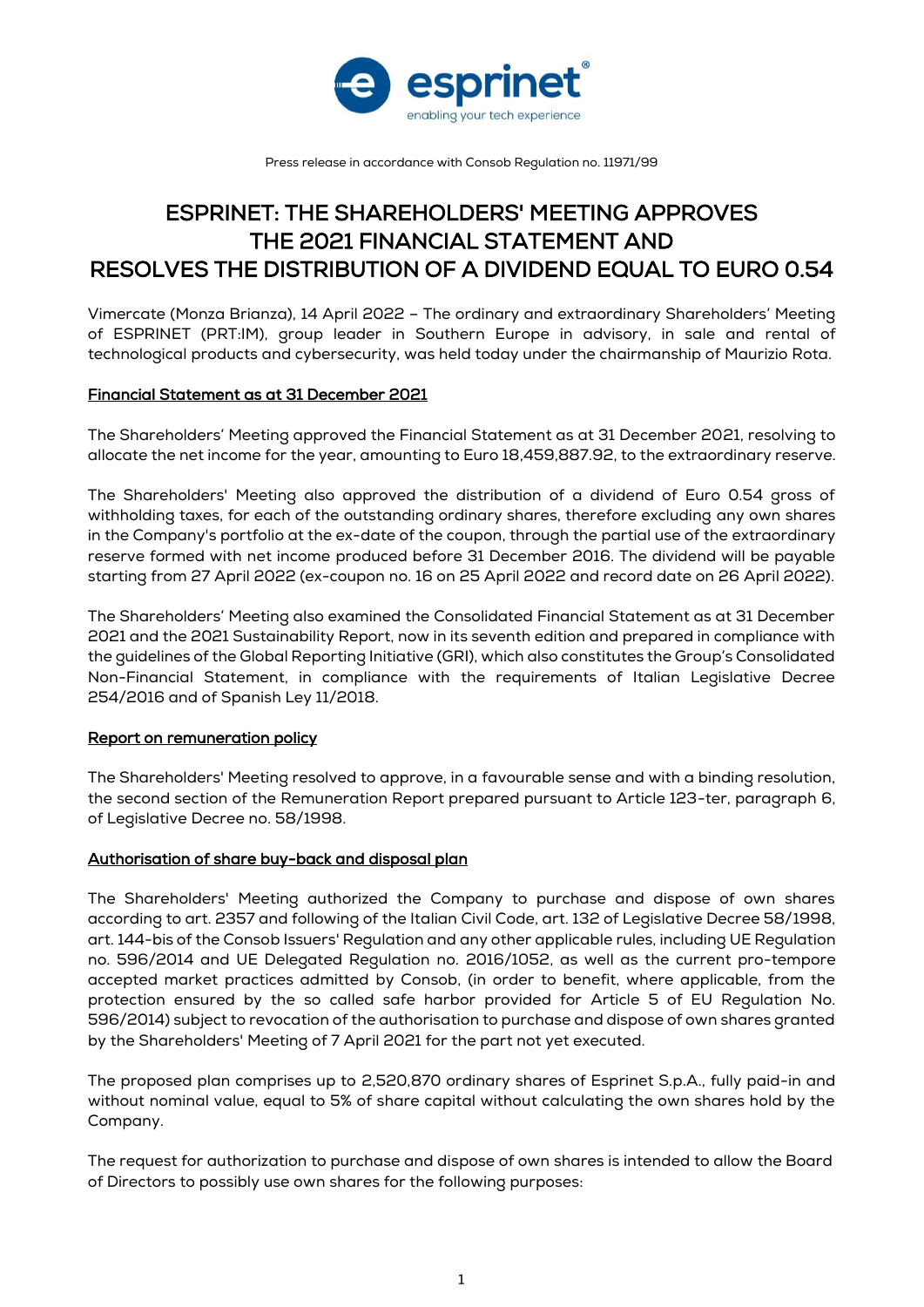

Press release in accordance with Consob Regulation no. 11971/99

# ESPRINET: THE SHAREHOLDERS' MEETING APPROVES THE 2021 FINANCIAL STATEMENT AND RESOLVES THE DISTRIBUTION OF A DIVIDEND EQUAL TO EURO 0.54

Vimercate (Monza Brianza), 14 April 2022 – The ordinary and extraordinary Shareholders' Meeting of ESPRINET (PRT:IM), group leader in Southern Europe in advisory, in sale and rental of technological products and cybersecurity, was held today under the chairmanship of Maurizio Rota.

## Financial Statement as at 31 December 2021

The Shareholders' Meeting approved the Financial Statement as at 31 December 2021, resolving to allocate the net income for the year, amounting to Euro 18,459,887.92, to the extraordinary reserve.

The Shareholders' Meeting also approved the distribution of a dividend of Euro 0.54 gross of withholding taxes, for each of the outstanding ordinary shares, therefore excluding any own shares in the Company's portfolio at the ex-date of the coupon, through the partial use of the extraordinary reserve formed with net income produced before 31 December 2016. The dividend will be payable starting from 27 April 2022 (ex-coupon no. 16 on 25 April 2022 and record date on 26 April 2022).

The Shareholders' Meeting also examined the Consolidated Financial Statement as at 31 December 2021 and the 2021 Sustainability Report, now in its seventh edition and prepared in compliance with the guidelines of the Global Reporting Initiative (GRI), which also constitutes the Group's Consolidated Non-Financial Statement, in compliance with the requirements of Italian Legislative Decree 254/2016 and of Spanish Ley 11/2018.

## Report on remuneration policy

The Shareholders' Meeting resolved to approve, in a favourable sense and with a binding resolution, the second section of the Remuneration Report prepared pursuant to Article 123-ter, paragraph 6, of Legislative Decree no. 58/1998.

## Authorisation of share buy-back and disposal plan

The Shareholders' Meeting authorized the Company to purchase and dispose of own shares according to art. 2357 and following of the Italian Civil Code, art. 132 of Legislative Decree 58/1998, art. 144-bis of the Consob Issuers' Regulation and any other applicable rules, including UE Regulation no. 596/2014 and UE Delegated Regulation no. 2016/1052, as well as the current pro-tempore accepted market practices admitted by Consob, (in order to benefit, where applicable, from the protection ensured by the so called safe harbor provided for Article 5 of EU Regulation No. 596/2014) subject to revocation of the authorisation to purchase and dispose of own shares granted by the Shareholders' Meeting of 7 April 2021 for the part not yet executed.

The proposed plan comprises up to 2,520,870 ordinary shares of Esprinet S.p.A., fully paid-in and without nominal value, equal to 5% of share capital without calculating the own shares hold by the Company.

The request for authorization to purchase and dispose of own shares is intended to allow the Board of Directors to possibly use own shares for the following purposes: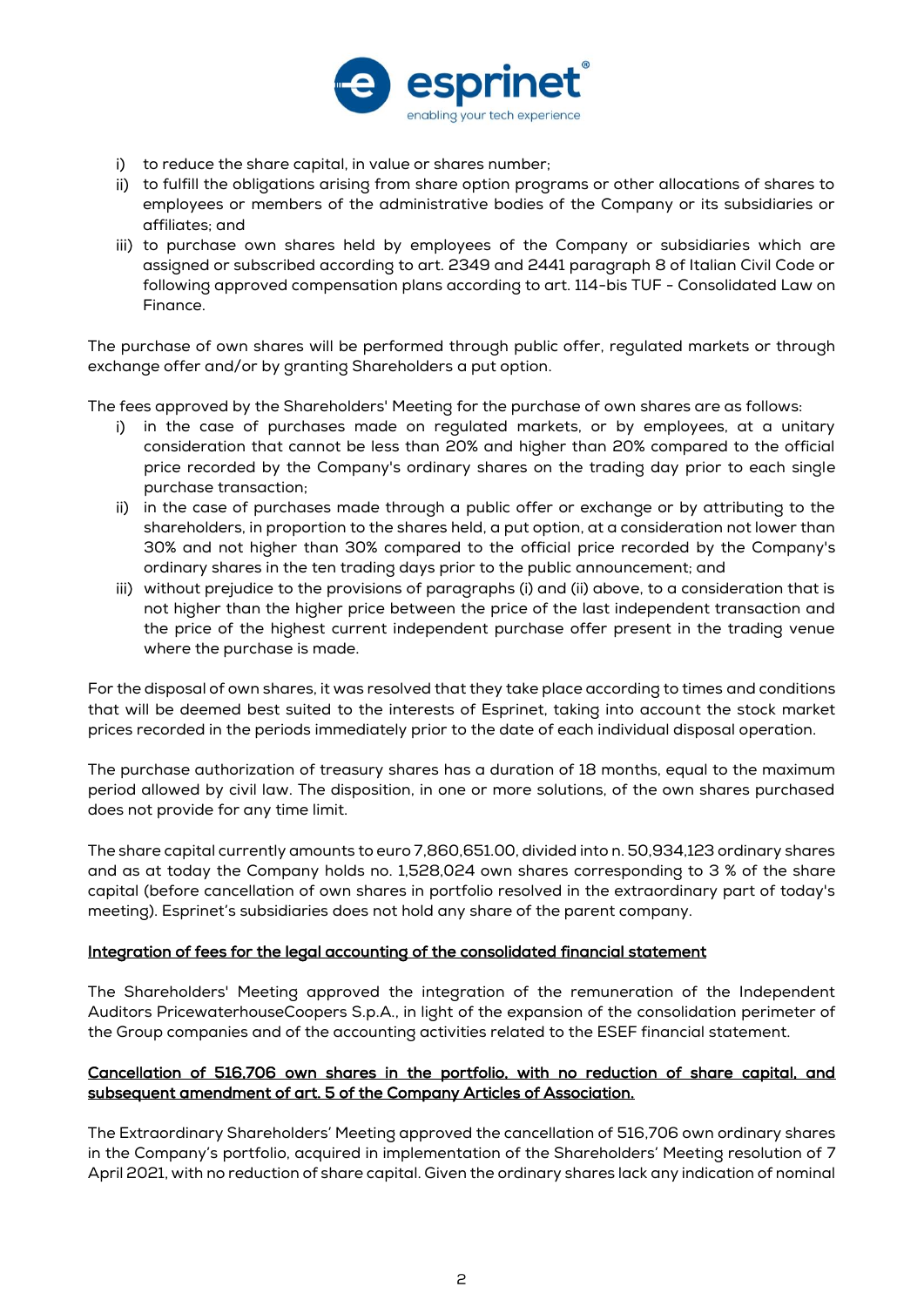

- i) to reduce the share capital, in value or shares number;
- ii) to fulfill the obligations arising from share option programs or other allocations of shares to employees or members of the administrative bodies of the Company or its subsidiaries or affiliates; and
- iii) to purchase own shares held by employees of the Company or subsidiaries which are assigned or subscribed according to art. 2349 and 2441 paragraph 8 of Italian Civil Code or following approved compensation plans according to art. 114-bis TUF - Consolidated Law on Finance.

The purchase of own shares will be performed through public offer, regulated markets or through exchange offer and/or by granting Shareholders a put option.

The fees approved by the Shareholders' Meeting for the purchase of own shares are as follows:

- i) in the case of purchases made on regulated markets, or by employees, at a unitary consideration that cannot be less than 20% and higher than 20% compared to the official price recorded by the Company's ordinary shares on the trading day prior to each single purchase transaction;
- ii) in the case of purchases made through a public offer or exchange or by attributing to the shareholders, in proportion to the shares held, a put option, at a consideration not lower than 30% and not higher than 30% compared to the official price recorded by the Company's ordinary shares in the ten trading days prior to the public announcement; and
- iii) without prejudice to the provisions of paragraphs (i) and (ii) above, to a consideration that is not higher than the higher price between the price of the last independent transaction and the price of the highest current independent purchase offer present in the trading venue where the purchase is made.

For the disposal of own shares, it was resolved that they take place according to times and conditions that will be deemed best suited to the interests of Esprinet, taking into account the stock market prices recorded in the periods immediately prior to the date of each individual disposal operation.

The purchase authorization of treasury shares has a duration of 18 months, equal to the maximum period allowed by civil law. The disposition, in one or more solutions, of the own shares purchased does not provide for any time limit.

The share capital currently amounts to euro 7,860,651.00, divided into n. 50,934,123 ordinary shares and as at today the Company holds no. 1,528,024 own shares corresponding to 3 % of the share capital (before cancellation of own shares in portfolio resolved in the extraordinary part of today's meeting). Esprinet's subsidiaries does not hold any share of the parent company.

## Integration of fees for the legal accounting of the consolidated financial statement

The Shareholders' Meeting approved the integration of the remuneration of the Independent Auditors PricewaterhouseCoopers S.p.A., in light of the expansion of the consolidation perimeter of the Group companies and of the accounting activities related to the ESEF financial statement.

# Cancellation of 516,706 own shares in the portfolio, with no reduction of share capital, and subsequent amendment of art. 5 of the Company Articles of Association.

The Extraordinary Shareholders' Meeting approved the cancellation of 516,706 own ordinary shares in the Company's portfolio, acquired in implementation of the Shareholders' Meeting resolution of 7 April 2021, with no reduction of share capital. Given the ordinary shares lack any indication of nominal